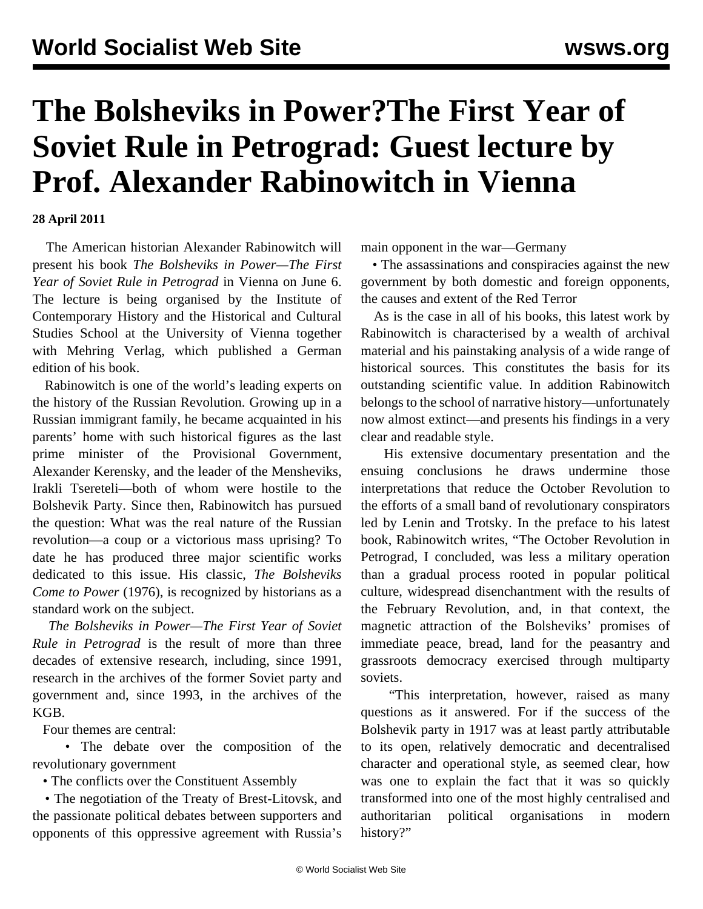## **The Bolsheviks in Power?The First Year of Soviet Rule in Petrograd: Guest lecture by Prof. Alexander Rabinowitch in Vienna**

## **28 April 2011**

 The American historian Alexander Rabinowitch will present his book *The Bolsheviks in Power—The First Year of Soviet Rule in Petrograd* in Vienna on June 6. The lecture is being organised by the Institute of Contemporary History and the Historical and Cultural Studies School at the University of Vienna together with Mehring Verlag, which published a German edition of his book.

 Rabinowitch is one of the world's leading experts on the history of the Russian Revolution. Growing up in a Russian immigrant family, he became acquainted in his parents' home with such historical figures as the last prime minister of the Provisional Government, Alexander Kerensky, and the leader of the Mensheviks, Irakli Tsereteli—both of whom were hostile to the Bolshevik Party. Since then, Rabinowitch has pursued the question: What was the real nature of the Russian revolution—a coup or a victorious mass uprising? To date he has produced three major scientific works dedicated to this issue. His classic, *The Bolsheviks Come to Power* (1976), is recognized by historians as a standard work on the subject.

 *The Bolsheviks in Power—The First Year of Soviet Rule in Petrograd* is the result of more than three decades of extensive research, including, since 1991, research in the archives of the former Soviet party and government and, since 1993, in the archives of the KGB.

Four themes are central:

 • The debate over the composition of the revolutionary government

• The conflicts over the Constituent Assembly

 • The negotiation of the Treaty of Brest-Litovsk, and the passionate political debates between supporters and opponents of this oppressive agreement with Russia's

main opponent in the war—Germany

 • The assassinations and conspiracies against the new government by both domestic and foreign opponents, the causes and extent of the Red Terror

 As is the case in all of his books, this latest work by Rabinowitch is characterised by a wealth of archival material and his painstaking analysis of a wide range of historical sources. This constitutes the basis for its outstanding scientific value. In addition Rabinowitch belongs to the school of narrative history—unfortunately now almost extinct—and presents his findings in a very clear and readable style.

 His extensive documentary presentation and the ensuing conclusions he draws undermine those interpretations that reduce the October Revolution to the efforts of a small band of revolutionary conspirators led by Lenin and Trotsky. In the preface to his latest book, Rabinowitch writes, "The October Revolution in Petrograd, I concluded, was less a military operation than a gradual process rooted in popular political culture, widespread disenchantment with the results of the February Revolution, and, in that context, the magnetic attraction of the Bolsheviks' promises of immediate peace, bread, land for the peasantry and grassroots democracy exercised through multiparty soviets.

 "This interpretation, however, raised as many questions as it answered. For if the success of the Bolshevik party in 1917 was at least partly attributable to its open, relatively democratic and decentralised character and operational style, as seemed clear, how was one to explain the fact that it was so quickly transformed into one of the most highly centralised and authoritarian political organisations in modern history?"